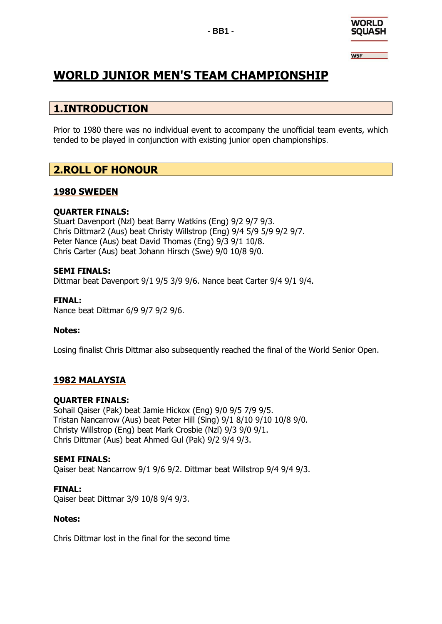

**WSF** 

# **WORLD JUNIOR MEN'S TEAM CHAMPIONSHIP**

# **1.INTRODUCTION**

Prior to 1980 there was no individual event to accompany the unofficial team events, which tended to be played in conjunction with existing junior open championships.

# **2.ROLL OF HONOUR**

#### **1980 SWEDEN**

#### **QUARTER FINALS:**

Stuart Davenport (Nzl) beat Barry Watkins (Eng) 9/2 9/7 9/3. Chris Dittmar2 (Aus) beat Christy Willstrop (Eng) 9/4 5/9 5/9 9/2 9/7. Peter Nance (Aus) beat David Thomas (Eng) 9/3 9/1 10/8. Chris Carter (Aus) beat Johann Hirsch (Swe) 9/0 10/8 9/0.

#### **SEMI FINALS:**

Dittmar beat Davenport 9/1 9/5 3/9 9/6. Nance beat Carter 9/4 9/1 9/4.

#### **FINAL:**

Nance beat Dittmar 6/9 9/7 9/2 9/6.

#### **Notes:**

Losing finalist Chris Dittmar also subsequently reached the final of the World Senior Open.

## **1982 MALAYSIA**

#### **QUARTER FINALS:**

Sohail Qaiser (Pak) beat Jamie Hickox (Eng) 9/0 9/5 7/9 9/5. Tristan Nancarrow (Aus) beat Peter Hill (Sing) 9/1 8/10 9/10 10/8 9/0. Christy Willstrop (Eng) beat Mark Crosbie (Nzl) 9/3 9/0 9/1. Chris Dittmar (Aus) beat Ahmed Gul (Pak) 9/2 9/4 9/3.

#### **SEMI FINALS:**

Qaiser beat Nancarrow 9/1 9/6 9/2. Dittmar beat Willstrop 9/4 9/4 9/3.

**FINAL:** Qaiser beat Dittmar 3/9 10/8 9/4 9/3.

#### **Notes:**

Chris Dittmar lost in the final for the second time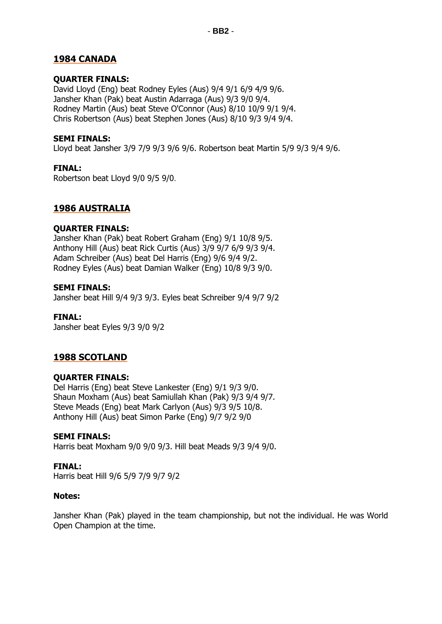## **1984 CANADA**

#### **QUARTER FINALS:**

David Lloyd (Eng) beat Rodney Eyles (Aus) 9/4 9/1 6/9 4/9 9/6. Jansher Khan (Pak) beat Austin Adarraga (Aus) 9/3 9/0 9/4. Rodney Martin (Aus) beat Steve O'Connor (Aus) 8/10 10/9 9/1 9/4. Chris Robertson (Aus) beat Stephen Jones (Aus) 8/10 9/3 9/4 9/4.

#### **SEMI FINALS:**

Lloyd beat Jansher 3/9 7/9 9/3 9/6 9/6. Robertson beat Martin 5/9 9/3 9/4 9/6.

#### **FINAL:**

Robertson beat Lloyd 9/0 9/5 9/0.

#### **1986 AUSTRALIA**

#### **QUARTER FINALS:**

Jansher Khan (Pak) beat Robert Graham (Eng) 9/1 10/8 9/5. Anthony Hill (Aus) beat Rick Curtis (Aus) 3/9 9/7 6/9 9/3 9/4. Adam Schreiber (Aus) beat Del Harris (Eng) 9/6 9/4 9/2. Rodney Eyles (Aus) beat Damian Walker (Eng) 10/8 9/3 9/0.

#### **SEMI FINALS:**

Jansher beat Hill 9/4 9/3 9/3. Eyles beat Schreiber 9/4 9/7 9/2

#### **FINAL:**

Jansher beat Eyles 9/3 9/0 9/2

## **1988 SCOTLAND**

#### **QUARTER FINALS:**

Del Harris (Eng) beat Steve Lankester (Eng) 9/1 9/3 9/0. Shaun Moxham (Aus) beat Samiullah Khan (Pak) 9/3 9/4 9/7. Steve Meads (Eng) beat Mark Carlyon (Aus) 9/3 9/5 10/8. Anthony Hill (Aus) beat Simon Parke (Eng) 9/7 9/2 9/0

#### **SEMI FINALS:**

Harris beat Moxham 9/0 9/0 9/3. Hill beat Meads 9/3 9/4 9/0.

#### **FINAL:**

Harris beat Hill 9/6 5/9 7/9 9/7 9/2

#### **Notes:**

Jansher Khan (Pak) played in the team championship, but not the individual. He was World Open Champion at the time.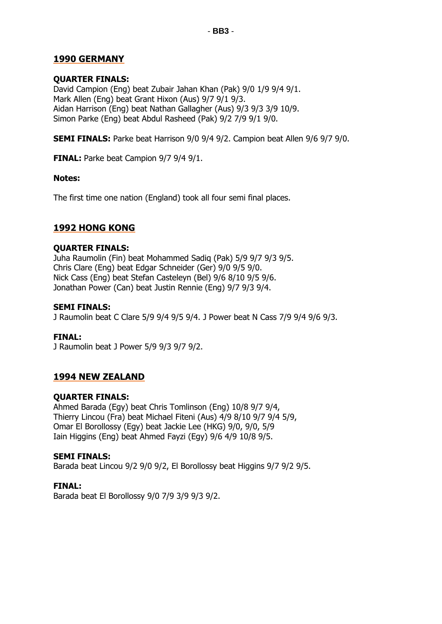## **1990 GERMANY**

#### **QUARTER FINALS:**

David Campion (Eng) beat Zubair Jahan Khan (Pak) 9/0 1/9 9/4 9/1. Mark Allen (Eng) beat Grant Hixon (Aus) 9/7 9/1 9/3. Aidan Harrison (Eng) beat Nathan Gallagher (Aus) 9/3 9/3 3/9 10/9. Simon Parke (Eng) beat Abdul Rasheed (Pak) 9/2 7/9 9/1 9/0.

**SEMI FINALS:** Parke beat Harrison 9/0 9/4 9/2. Campion beat Allen 9/6 9/7 9/0.

**FINAL:** Parke beat Campion 9/7 9/4 9/1.

#### **Notes:**

The first time one nation (England) took all four semi final places.

## **1992 HONG KONG**

#### **QUARTER FINALS:**

Juha Raumolin (Fin) beat Mohammed Sadiq (Pak) 5/9 9/7 9/3 9/5. Chris Clare (Eng) beat Edgar Schneider (Ger) 9/0 9/5 9/0. Nick Cass (Eng) beat Stefan Casteleyn (Bel) 9/6 8/10 9/5 9/6. Jonathan Power (Can) beat Justin Rennie (Eng) 9/7 9/3 9/4.

#### **SEMI FINALS:**

J Raumolin beat C Clare 5/9 9/4 9/5 9/4. J Power beat N Cass 7/9 9/4 9/6 9/3.

#### **FINAL:**

J Raumolin beat J Power 5/9 9/3 9/7 9/2.

## **1994 NEW ZEALAND**

#### **QUARTER FINALS:**

Ahmed Barada (Egy) beat Chris Tomlinson (Eng) 10/8 9/7 9/4, Thierry Lincou (Fra) beat Michael Fiteni (Aus) 4/9 8/10 9/7 9/4 5/9, Omar El Borollossy (Egy) beat Jackie Lee (HKG) 9/0, 9/0, 5/9 Iain Higgins (Eng) beat Ahmed Fayzi (Egy) 9/6 4/9 10/8 9/5.

#### **SEMI FINALS:**

Barada beat Lincou 9/2 9/0 9/2, El Borollossy beat Higgins 9/7 9/2 9/5.

**FINAL:** Barada beat El Borollossy 9/0 7/9 3/9 9/3 9/2.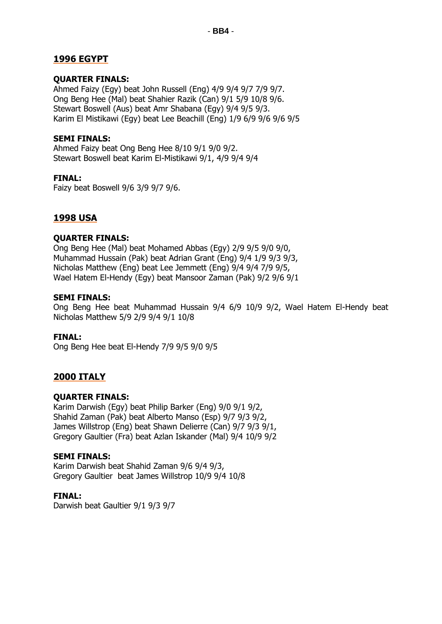## **1996 EGYPT**

#### **QUARTER FINALS:**

Ahmed Faizy (Egy) beat John Russell (Eng) 4/9 9/4 9/7 7/9 9/7. Ong Beng Hee (Mal) beat Shahier Razik (Can) 9/1 5/9 10/8 9/6. Stewart Boswell (Aus) beat Amr Shabana (Egy) 9/4 9/5 9/3. Karim El Mistikawi (Egy) beat Lee Beachill (Eng) 1/9 6/9 9/6 9/6 9/5

#### **SEMI FINALS:**

Ahmed Faizy beat Ong Beng Hee 8/10 9/1 9/0 9/2. Stewart Boswell beat Karim El-Mistikawi 9/1, 4/9 9/4 9/4

#### **FINAL:**

Faizy beat Boswell 9/6 3/9 9/7 9/6.

## **1998 USA**

#### **QUARTER FINALS:**

Ong Beng Hee (Mal) beat Mohamed Abbas (Egy) 2/9 9/5 9/0 9/0, Muhammad Hussain (Pak) beat Adrian Grant (Eng) 9/4 1/9 9/3 9/3, Nicholas Matthew (Eng) beat Lee Jemmett (Eng) 9/4 9/4 7/9 9/5, Wael Hatem El-Hendy (Egy) beat Mansoor Zaman (Pak) 9/2 9/6 9/1

#### **SEMI FINALS:**

Ong Beng Hee beat Muhammad Hussain 9/4 6/9 10/9 9/2, Wael Hatem El-Hendy beat Nicholas Matthew 5/9 2/9 9/4 9/1 10/8

#### **FINAL:**

Ong Beng Hee beat El-Hendy 7/9 9/5 9/0 9/5

## **2000 ITALY**

#### **QUARTER FINALS:**

Karim Darwish (Egy) beat Philip Barker (Eng) 9/0 9/1 9/2, Shahid Zaman (Pak) beat Alberto Manso (Esp) 9/7 9/3 9/2, James Willstrop (Eng) beat Shawn Delierre (Can) 9/7 9/3 9/1, Gregory Gaultier (Fra) beat Azlan Iskander (Mal) 9/4 10/9 9/2

#### **SEMI FINALS:**

Karim Darwish beat Shahid Zaman 9/6 9/4 9/3, Gregory Gaultier beat James Willstrop 10/9 9/4 10/8

#### **FINAL:**

Darwish beat Gaultier 9/1 9/3 9/7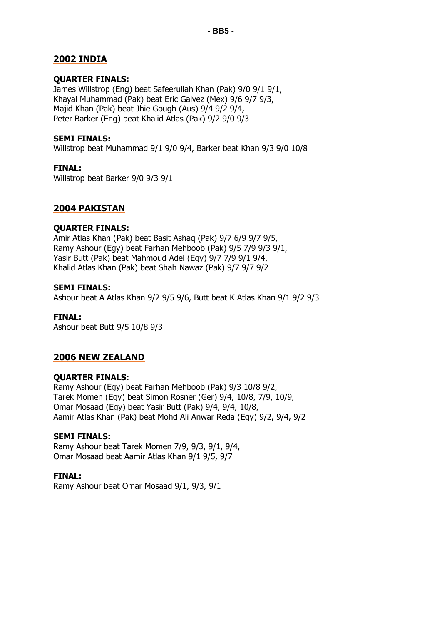## **2002 INDIA**

#### **QUARTER FINALS:**

James Willstrop (Eng) beat Safeerullah Khan (Pak) 9/0 9/1 9/1, Khayal Muhammad (Pak) beat Eric Galvez (Mex) 9/6 9/7 9/3, Majid Khan (Pak) beat Jhie Gough (Aus) 9/4 9/2 9/4, Peter Barker (Eng) beat Khalid Atlas (Pak) 9/2 9/0 9/3

#### **SEMI FINALS:**

Willstrop beat Muhammad 9/1 9/0 9/4, Barker beat Khan 9/3 9/0 10/8

#### **FINAL:**

Willstrop beat Barker 9/0 9/3 9/1

## **2004 PAKISTAN**

#### **QUARTER FINALS:**

Amir Atlas Khan (Pak) beat Basit Ashaq (Pak) 9/7 6/9 9/7 9/5, Ramy Ashour (Egy) beat Farhan Mehboob (Pak) 9/5 7/9 9/3 9/1, Yasir Butt (Pak) beat Mahmoud Adel (Egy) 9/7 7/9 9/1 9/4, Khalid Atlas Khan (Pak) beat Shah Nawaz (Pak) 9/7 9/7 9/2

#### **SEMI FINALS:**

Ashour beat A Atlas Khan 9/2 9/5 9/6, Butt beat K Atlas Khan 9/1 9/2 9/3

#### **FINAL:**

Ashour beat Butt 9/5 10/8 9/3

## **2006 NEW ZEALAND**

#### **QUARTER FINALS:**

Ramy Ashour (Egy) beat Farhan Mehboob (Pak) 9/3 10/8 9/2, Tarek Momen (Egy) beat Simon Rosner (Ger) 9/4, 10/8, 7/9, 10/9, Omar Mosaad (Egy) beat Yasir Butt (Pak) 9/4, 9/4, 10/8, Aamir Atlas Khan (Pak) beat Mohd Ali Anwar Reda (Egy) 9/2, 9/4, 9/2

#### **SEMI FINALS:**

Ramy Ashour beat Tarek Momen 7/9, 9/3, 9/1, 9/4, Omar Mosaad beat Aamir Atlas Khan 9/1 9/5, 9/7

#### **FINAL:**

Ramy Ashour beat Omar Mosaad 9/1, 9/3, 9/1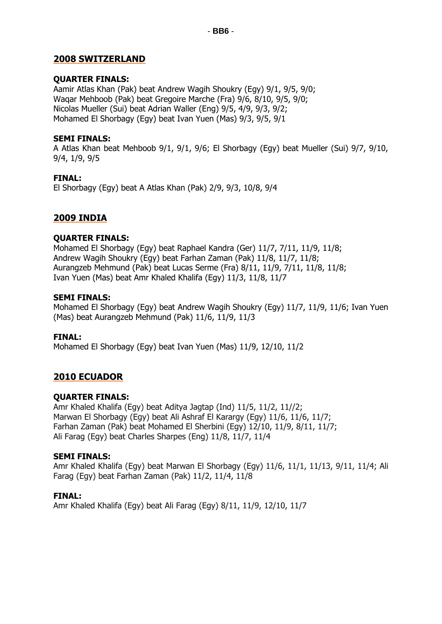## **2008 SWITZERLAND**

#### **QUARTER FINALS:**

Aamir Atlas Khan (Pak) beat Andrew Wagih Shoukry (Egy) 9/1, 9/5, 9/0; Waqar Mehboob (Pak) beat Gregoire Marche (Fra) 9/6, 8/10, 9/5, 9/0; Nicolas Mueller (Sui) beat Adrian Waller (Eng) 9/5, 4/9, 9/3, 9/2; Mohamed El Shorbagy (Egy) beat Ivan Yuen (Mas) 9/3, 9/5, 9/1

#### **SEMI FINALS:**

A Atlas Khan beat Mehboob 9/1, 9/1, 9/6; El Shorbagy (Egy) beat Mueller (Sui) 9/7, 9/10, 9/4, 1/9, 9/5

#### **FINAL:**

El Shorbagy (Egy) beat A Atlas Khan (Pak) 2/9, 9/3, 10/8, 9/4

## **2009 INDIA**

#### **QUARTER FINALS:**

Mohamed El Shorbagy (Egy) beat Raphael Kandra (Ger) 11/7, 7/11, 11/9, 11/8; Andrew Wagih Shoukry (Egy) beat Farhan Zaman (Pak) 11/8, 11/7, 11/8; Aurangzeb Mehmund (Pak) beat Lucas Serme (Fra) 8/11, 11/9, 7/11, 11/8, 11/8; Ivan Yuen (Mas) beat Amr Khaled Khalifa (Egy) 11/3, 11/8, 11/7

#### **SEMI FINALS:**

Mohamed El Shorbagy (Egy) beat Andrew Wagih Shoukry (Egy) 11/7, 11/9, 11/6; Ivan Yuen (Mas) beat Aurangzeb Mehmund (Pak) 11/6, 11/9, 11/3

#### **FINAL:**

Mohamed El Shorbagy (Egy) beat Ivan Yuen (Mas) 11/9, 12/10, 11/2

## **2010 ECUADOR**

#### **QUARTER FINALS:**

Amr Khaled Khalifa (Egy) beat Aditya Jagtap (Ind) 11/5, 11/2, 11//2; Marwan El Shorbagy (Egy) beat Ali Ashraf El Karargy (Egy) 11/6, 11/6, 11/7; Farhan Zaman (Pak) beat Mohamed El Sherbini (Egy) 12/10, 11/9, 8/11, 11/7; Ali Farag (Egy) beat Charles Sharpes (Eng) 11/8, 11/7, 11/4

#### **SEMI FINALS:**

Amr Khaled Khalifa (Egy) beat Marwan El Shorbagy (Egy) 11/6, 11/1, 11/13, 9/11, 11/4; Ali Farag (Egy) beat Farhan Zaman (Pak) 11/2, 11/4, 11/8

#### **FINAL:**

Amr Khaled Khalifa (Egy) beat Ali Farag (Egy) 8/11, 11/9, 12/10, 11/7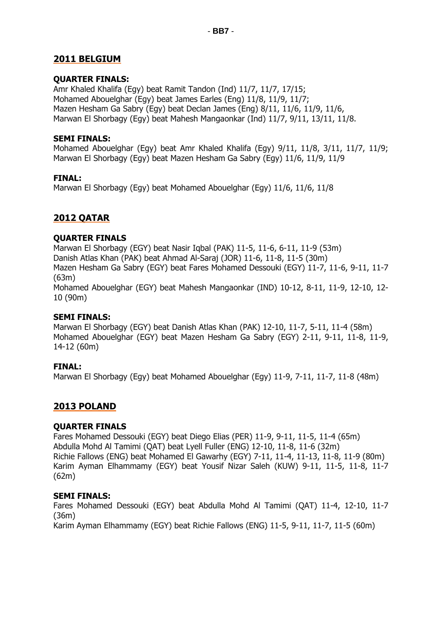## **2011 BELGIUM**

#### **QUARTER FINALS:**

Amr Khaled Khalifa (Egy) beat Ramit Tandon (Ind) 11/7, 11/7, 17/15; Mohamed Abouelghar (Egy) beat James Earles (Eng) 11/8, 11/9, 11/7; Mazen Hesham Ga Sabry (Egy) beat Declan James (Eng) 8/11, 11/6, 11/9, 11/6, Marwan El Shorbagy (Egy) beat Mahesh Mangaonkar (Ind) 11/7, 9/11, 13/11, 11/8.

#### **SEMI FINALS:**

Mohamed Abouelghar (Egy) beat Amr Khaled Khalifa (Egy) 9/11, 11/8, 3/11, 11/7, 11/9; Marwan El Shorbagy (Egy) beat Mazen Hesham Ga Sabry (Egy) 11/6, 11/9, 11/9

#### **FINAL:**

Marwan El Shorbagy (Egy) beat Mohamed Abouelghar (Egy) 11/6, 11/6, 11/8

## **2012 QATAR**

#### **QUARTER FINALS**

Marwan El Shorbagy (EGY) beat Nasir Iqbal (PAK) 11-5, 11-6, 6-11, 11-9 (53m) Danish Atlas Khan (PAK) beat Ahmad Al-Saraj (JOR) 11-6, 11-8, 11-5 (30m) Mazen Hesham Ga Sabry (EGY) beat Fares Mohamed Dessouki (EGY) 11-7, 11-6, 9-11, 11-7 (63m) Mohamed Abouelghar (EGY) beat Mahesh Mangaonkar (IND) 10-12, 8-11, 11-9, 12-10, 12- 10 (90m)

#### **SEMI FINALS:**

Marwan El Shorbagy (EGY) beat Danish Atlas Khan (PAK) 12-10, 11-7, 5-11, 11-4 (58m) Mohamed Abouelghar (EGY) beat Mazen Hesham Ga Sabry (EGY) 2-11, 9-11, 11-8, 11-9, 14-12 (60m)

## **FINAL:**

Marwan El Shorbagy (Egy) beat Mohamed Abouelghar (Egy) 11-9, 7-11, 11-7, 11-8 (48m)

## **2013 POLAND**

## **QUARTER FINALS**

Fares Mohamed Dessouki (EGY) beat Diego Elias (PER) 11-9, 9-11, 11-5, 11-4 (65m) Abdulla Mohd Al Tamimi (QAT) beat Lyell Fuller (ENG) 12-10, 11-8, 11-6 (32m) Richie Fallows (ENG) beat Mohamed El Gawarhy (EGY) 7-11, 11-4, 11-13, 11-8, 11-9 (80m) Karim Ayman Elhammamy (EGY) beat Yousif Nizar Saleh (KUW) 9-11, 11-5, 11-8, 11-7 (62m)

#### **SEMI FINALS:**

Fares Mohamed Dessouki (EGY) beat Abdulla Mohd Al Tamimi (QAT) 11-4, 12-10, 11-7 (36m) Karim Ayman Elhammamy (EGY) beat Richie Fallows (ENG) 11-5, 9-11, 11-7, 11-5 (60m)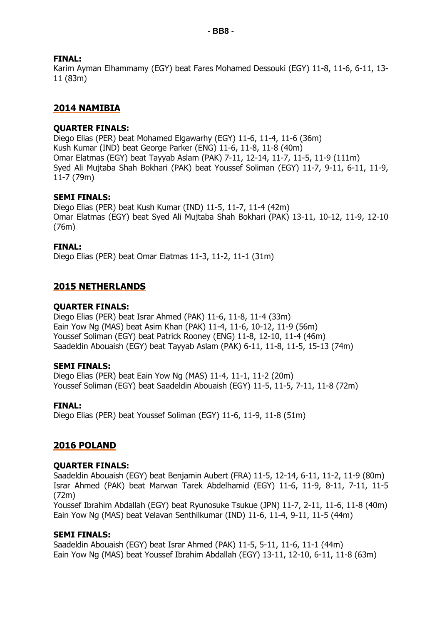## **FINAL:**

Karim Ayman Elhammamy (EGY) beat Fares Mohamed Dessouki (EGY) 11-8, 11-6, 6-11, 13- 11 (83m)

## **2014 NAMIBIA**

#### **QUARTER FINALS:**

Diego Elias (PER) beat Mohamed Elgawarhy (EGY) 11-6, 11-4, 11-6 (36m) Kush Kumar (IND) beat George Parker (ENG) 11-6, 11-8, 11-8 (40m) Omar Elatmas (EGY) beat Tayyab Aslam (PAK) 7-11, 12-14, 11-7, 11-5, 11-9 (111m) Syed Ali Mujtaba Shah Bokhari (PAK) beat Youssef Soliman (EGY) 11-7, 9-11, 6-11, 11-9, 11-7 (79m)

#### **SEMI FINALS:**

Diego Elias (PER) beat Kush Kumar (IND) 11-5, 11-7, 11-4 (42m) Omar Elatmas (EGY) beat Syed Ali Mujtaba Shah Bokhari (PAK) 13-11, 10-12, 11-9, 12-10 (76m)

#### **FINAL:**

Diego Elias (PER) beat Omar Elatmas 11-3, 11-2, 11-1 (31m)

## **2015 NETHERLANDS**

#### **QUARTER FINALS:**

Diego Elias (PER) beat Israr Ahmed (PAK) 11-6, 11-8, 11-4 (33m) Eain Yow Ng (MAS) beat Asim Khan (PAK) 11-4, 11-6, 10-12, 11-9 (56m) Youssef Soliman (EGY) beat Patrick Rooney (ENG) 11-8, 12-10, 11-4 (46m) Saadeldin Abouaish (EGY) beat Tayyab Aslam (PAK) 6-11, 11-8, 11-5, 15-13 (74m)

#### **SEMI FINALS:**

Diego Elias (PER) beat Eain Yow Ng (MAS) 11-4, 11-1, 11-2 (20m) Youssef Soliman (EGY) beat Saadeldin Abouaish (EGY) 11-5, 11-5, 7-11, 11-8 (72m)

#### **FINAL:**

Diego Elias (PER) beat Youssef Soliman (EGY) 11-6, 11-9, 11-8 (51m)

## **2016 POLAND**

#### **QUARTER FINALS:**

Saadeldin Abouaish (EGY) beat Benjamin Aubert (FRA) 11-5, 12-14, 6-11, 11-2, 11-9 (80m) Israr Ahmed (PAK) beat Marwan Tarek Abdelhamid (EGY) 11-6, 11-9, 8-11, 7-11, 11-5 (72m)

Youssef Ibrahim Abdallah (EGY) beat Ryunosuke Tsukue (JPN) 11-7, 2-11, 11-6, 11-8 (40m) Eain Yow Ng (MAS) beat Velavan Senthilkumar (IND) 11-6, 11-4, 9-11, 11-5 (44m)

#### **SEMI FINALS:**

Saadeldin Abouaish (EGY) beat Israr Ahmed (PAK) 11-5, 5-11, 11-6, 11-1 (44m) Eain Yow Ng (MAS) beat Youssef Ibrahim Abdallah (EGY) 13-11, 12-10, 6-11, 11-8 (63m)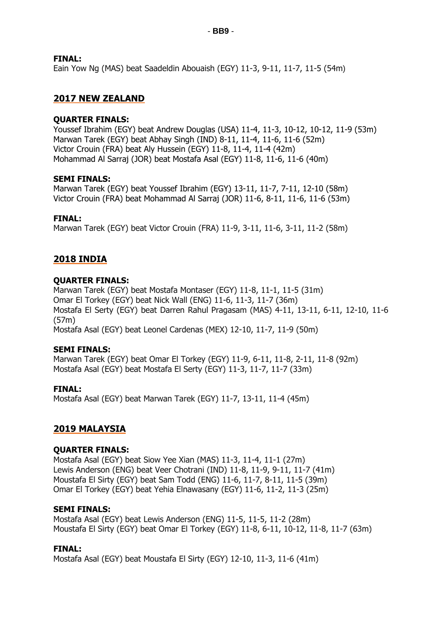## **FINAL:**

Eain Yow Ng (MAS) beat Saadeldin Abouaish (EGY) 11-3, 9-11, 11-7, 11-5 (54m)

## **2017 NEW ZEALAND**

#### **QUARTER FINALS:**

Youssef Ibrahim (EGY) beat Andrew Douglas (USA) 11-4, 11-3, 10-12, 10-12, 11-9 (53m) Marwan Tarek (EGY) beat Abhay Singh (IND) 8-11, 11-4, 11-6, 11-6 (52m) Victor Crouin (FRA) beat Aly Hussein (EGY) 11-8, 11-4, 11-4 (42m) Mohammad Al Sarraj (JOR) beat Mostafa Asal (EGY) 11-8, 11-6, 11-6 (40m)

#### **SEMI FINALS:**

Marwan Tarek (EGY) beat Youssef Ibrahim (EGY) 13-11, 11-7, 7-11, 12-10 (58m) Victor Crouin (FRA) beat Mohammad Al Sarraj (JOR) 11-6, 8-11, 11-6, 11-6 (53m)

#### **FINAL:**

Marwan Tarek (EGY) beat Victor Crouin (FRA) 11-9, 3-11, 11-6, 3-11, 11-2 (58m)

## **2018 INDIA**

#### **QUARTER FINALS:**

Marwan Tarek (EGY) beat Mostafa Montaser (EGY) 11-8, 11-1, 11-5 (31m) Omar El Torkey (EGY) beat Nick Wall (ENG) 11-6, 11-3, 11-7 (36m) Mostafa El Serty (EGY) beat Darren Rahul Pragasam (MAS) 4-11, 13-11, 6-11, 12-10, 11-6 (57m) Mostafa Asal (EGY) beat Leonel Cardenas (MEX) 12-10, 11-7, 11-9 (50m)

#### **SEMI FINALS:**

Marwan Tarek (EGY) beat Omar El Torkey (EGY) 11-9, 6-11, 11-8, 2-11, 11-8 (92m) Mostafa Asal (EGY) beat Mostafa El Serty (EGY) 11-3, 11-7, 11-7 (33m)

**FINAL:** Mostafa Asal (EGY) beat Marwan Tarek (EGY) 11-7, 13-11, 11-4 (45m)

## **2019 MALAYSIA**

#### **QUARTER FINALS:**

Mostafa Asal (EGY) beat Siow Yee Xian (MAS) 11-3, 11-4, 11-1 (27m) Lewis Anderson (ENG) beat Veer Chotrani (IND) 11-8, 11-9, 9-11, 11-7 (41m) Moustafa El Sirty (EGY) beat Sam Todd (ENG) 11-6, 11-7, 8-11, 11-5 (39m) Omar El Torkey (EGY) beat Yehia Elnawasany (EGY) 11-6, 11-2, 11-3 (25m)

#### **SEMI FINALS:**

Mostafa Asal (EGY) beat Lewis Anderson (ENG) 11-5, 11-5, 11-2 (28m) Moustafa El Sirty (EGY) beat Omar El Torkey (EGY) 11-8, 6-11, 10-12, 11-8, 11-7 (63m)

#### **FINAL:**

Mostafa Asal (EGY) beat Moustafa El Sirty (EGY) 12-10, 11-3, 11-6 (41m)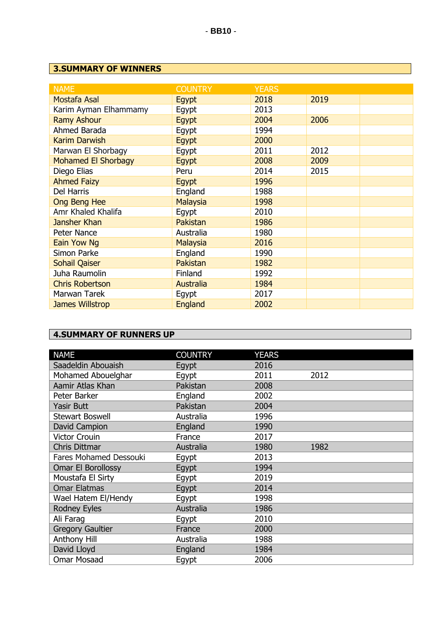## **3.SUMMARY OF WINNERS**

| <b>COUNTRY</b>  | <b>YEARS</b> |      |
|-----------------|--------------|------|
| Egypt           | 2018         | 2019 |
| Egypt           | 2013         |      |
| Egypt           | 2004         | 2006 |
| Egypt           | 1994         |      |
| Egypt           | 2000         |      |
| Egypt           | 2011         | 2012 |
| Egypt           | 2008         | 2009 |
| Peru            | 2014         | 2015 |
| Egypt           | 1996         |      |
| England         | 1988         |      |
| <b>Malaysia</b> | 1998         |      |
| Egypt           | 2010         |      |
| Pakistan        | 1986         |      |
| Australia       | 1980         |      |
| <b>Malaysia</b> | 2016         |      |
| England         | 1990         |      |
| Pakistan        | 1982         |      |
| Finland         | 1992         |      |
| Australia       | 1984         |      |
| Egypt           | 2017         |      |
| England         | 2002         |      |
|                 |              |      |

# **4.SUMMARY OF RUNNERS UP**

| <b>NAME</b>             | <b>COUNTRY</b> | <b>YEARS</b> |      |
|-------------------------|----------------|--------------|------|
| Saadeldin Abouaish      | Egypt          | 2016         |      |
| Mohamed Abouelghar      | Egypt          | 2011         | 2012 |
| Aamir Atlas Khan        | Pakistan       | 2008         |      |
| Peter Barker            | England        | 2002         |      |
| <b>Yasir Butt</b>       | Pakistan       | 2004         |      |
| <b>Stewart Boswell</b>  | Australia      | 1996         |      |
| David Campion           | England        | 1990         |      |
| <b>Victor Crouin</b>    | France         | 2017         |      |
| <b>Chris Dittmar</b>    | Australia      | 1980         | 1982 |
| Fares Mohamed Dessouki  | Egypt          | 2013         |      |
| Omar El Borollossy      | Egypt          | 1994         |      |
| Moustafa El Sirty       | Egypt          | 2019         |      |
| <b>Omar Elatmas</b>     | Egypt          | 2014         |      |
| Wael Hatem El/Hendy     | Egypt          | 1998         |      |
| <b>Rodney Eyles</b>     | Australia      | 1986         |      |
| Ali Faraq               | Egypt          | 2010         |      |
| <b>Gregory Gaultier</b> | France         | 2000         |      |
| Anthony Hill            | Australia      | 1988         |      |
| David Lloyd             | England        | 1984         |      |
| <b>Omar Mosaad</b>      | Egypt          | 2006         |      |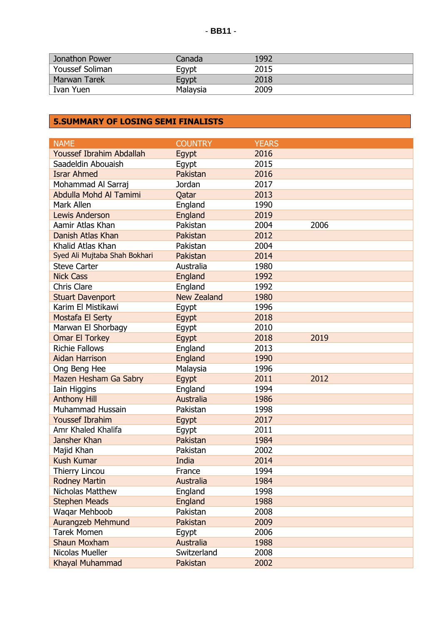| <b>Jonathon Power</b>        | Canada   | 1992 |
|------------------------------|----------|------|
| <sup>'</sup> Youssef Soliman | Eqypt    | 2015 |
| <b>Marwan Tarek</b>          | Eqypt    | 2018 |
| <sup>'</sup> Ivan Yuen       | Malaysia | 2009 |

## **5.SUMMARY OF LOSING SEMI FINALISTS**

| <b>NAME</b>                     | <b>COUNTRY</b>     | <b>YEARS</b> |      |
|---------------------------------|--------------------|--------------|------|
| <b>Youssef Ibrahim Abdallah</b> | Egypt              | 2016         |      |
| Saadeldin Abouaish              | Egypt              | 2015         |      |
| <b>Israr Ahmed</b>              | Pakistan           | 2016         |      |
| Mohammad Al Sarraj              | Jordan             | 2017         |      |
| Abdulla Mohd Al Tamimi          | Qatar              | 2013         |      |
| Mark Allen                      | England            | 1990         |      |
| <b>Lewis Anderson</b>           | England            | 2019         |      |
| Aamir Atlas Khan                | Pakistan           | 2004         | 2006 |
| Danish Atlas Khan               | Pakistan           | 2012         |      |
| Khalid Atlas Khan               | Pakistan           | 2004         |      |
| Syed Ali Mujtaba Shah Bokhari   | Pakistan           | 2014         |      |
| <b>Steve Carter</b>             | Australia          | 1980         |      |
| <b>Nick Cass</b>                | England            | 1992         |      |
| <b>Chris Clare</b>              | England            | 1992         |      |
| <b>Stuart Davenport</b>         | <b>New Zealand</b> | 1980         |      |
| Karim El Mistikawi              | Egypt              | 1996         |      |
| Mostafa El Serty                | Egypt              | 2018         |      |
| Marwan El Shorbagy              | Egypt              | 2010         |      |
| <b>Omar El Torkey</b>           | Egypt              | 2018         | 2019 |
| <b>Richie Fallows</b>           | England            | 2013         |      |
| <b>Aidan Harrison</b>           | England            | 1990         |      |
| Ong Beng Hee                    | Malaysia           | 1996         |      |
| Mazen Hesham Ga Sabry           | Egypt              | 2011         | 2012 |
| <b>Iain Higgins</b>             | England            | 1994         |      |
| <b>Anthony Hill</b>             | <b>Australia</b>   | 1986         |      |
| <b>Muhammad Hussain</b>         | Pakistan           | 1998         |      |
| <b>Youssef Ibrahim</b>          | Egypt              | 2017         |      |
| Amr Khaled Khalifa              | Egypt              | 2011         |      |
| Jansher Khan                    | Pakistan           | 1984         |      |
| Majid Khan                      | Pakistan           | 2002         |      |
| <b>Kush Kumar</b>               | India              | 2014         |      |
| <b>Thierry Lincou</b>           | France             | 1994         |      |
| <b>Rodney Martin</b>            | Australia          | 1984         |      |
| Nicholas Matthew                | England            | 1998         |      |
| <b>Stephen Meads</b>            | England            | 1988         |      |
| Waqar Mehboob                   | Pakistan           | 2008         |      |
| <b>Aurangzeb Mehmund</b>        | Pakistan           | 2009         |      |
| <b>Tarek Momen</b>              | Egypt              | 2006         |      |
| <b>Shaun Moxham</b>             | <b>Australia</b>   | 1988         |      |
| Nicolas Mueller                 | Switzerland        | 2008         |      |
| Khayal Muhammad                 | Pakistan           | 2002         |      |